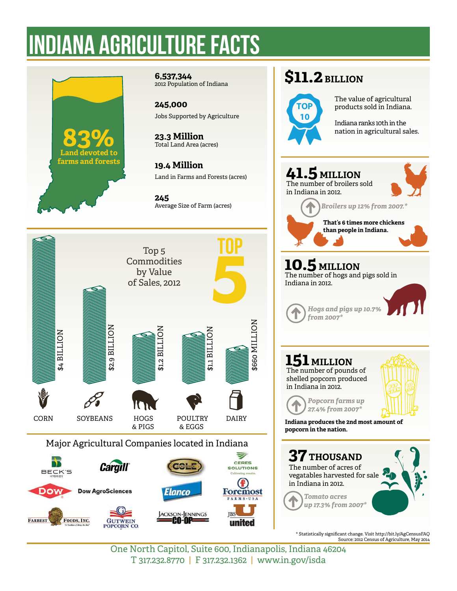# INDIANA AGRICULTURE facts



**6,537,344** 2012 Population of Indiana

**245,000** Jobs Supported by Agriculture

**23.3 Million** Total Land Area (acres)

**19.4 Million** Land in Farms and Forests (acres)

**245** Average Size of Farm (acres)



### **\$11.2 BILLION**



 The value of agricultural products sold in Indiana.

 Indiana ranks 10th in the nation in agricultural sales.



 **10.5 MILLION** The number of hogs and pigs sold in Indiana in 2012.

*Hogs and pigs up 10.7% from 2007\**

### **151 MILLION** The number of pounds of

shelled popcorn produced in Indiana in 2012.



**Indiana produces the 2nd most amount of popcorn in the nation.**

*Popcorn farms up 27.4% from 2007\**



\* Statistically significant change. Visit http://bit.ly/AgCensusFAQ Source: 2012 Census of Agriculture, May 2014

One North Capitol, Suite 600, Indianapolis, Indiana 46204 T 317.232.8770 | F 317.232.1362 | www.in.gov/isda